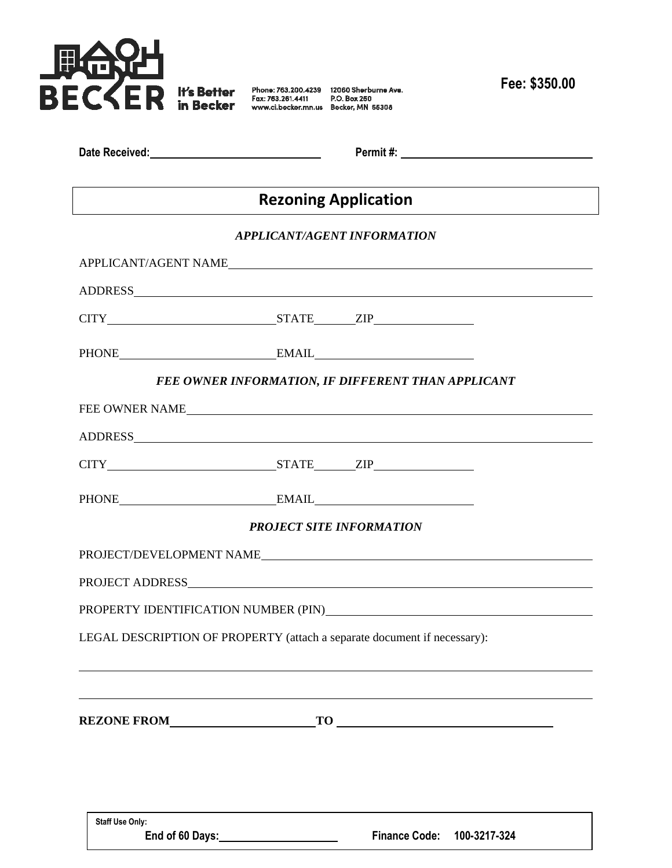

**Fee: \$350.00**

| Date Received: |  |
|----------------|--|

**Date Received: Permit #:** 

# **Rezoning Application**

## *APPLICANT/AGENT INFORMATION*

| PHONE EMAIL EMAIL |                                                    |  |  |  |  |
|-------------------|----------------------------------------------------|--|--|--|--|
|                   | FEE OWNER INFORMATION, IF DIFFERENT THAN APPLICANT |  |  |  |  |
| FEE OWNER NAME    |                                                    |  |  |  |  |
| ADDRESS ADDRESS   |                                                    |  |  |  |  |
|                   |                                                    |  |  |  |  |
| PHONE EMAIL EMAIL |                                                    |  |  |  |  |
|                   | <b>PROJECT SITE INFORMATION</b>                    |  |  |  |  |
|                   |                                                    |  |  |  |  |
|                   |                                                    |  |  |  |  |
|                   |                                                    |  |  |  |  |
|                   |                                                    |  |  |  |  |
|                   |                                                    |  |  |  |  |
|                   |                                                    |  |  |  |  |
|                   |                                                    |  |  |  |  |
|                   |                                                    |  |  |  |  |

**Staff Use Only:**